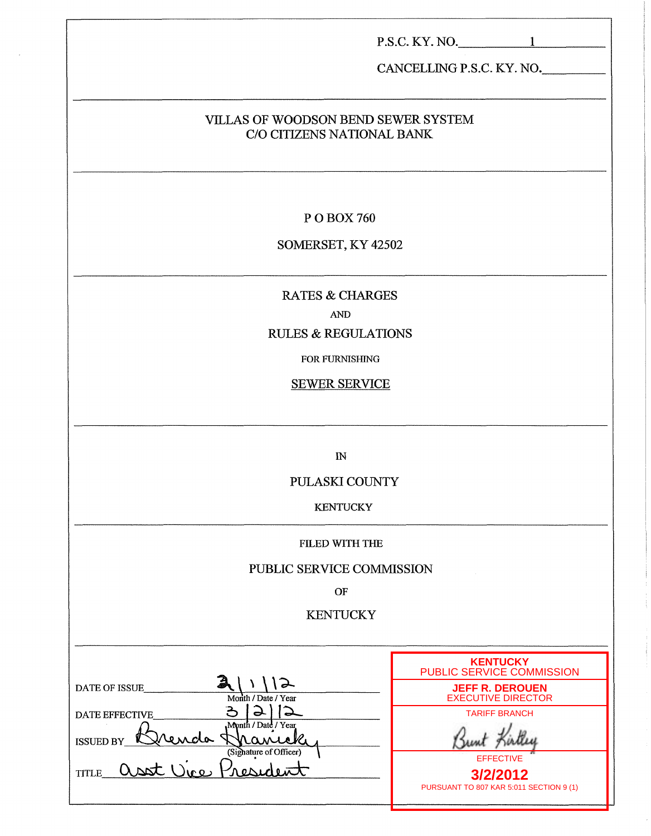|                                                                                                                                                                             | $P.S.C. KY. NO.$ 1<br>CANCELLING P.S.C. KY. NO.                                                                                                                                                        |  |
|-----------------------------------------------------------------------------------------------------------------------------------------------------------------------------|--------------------------------------------------------------------------------------------------------------------------------------------------------------------------------------------------------|--|
| VILLAS OF WOODSON BEND SEWER SYSTEM<br>C/O CITIZENS NATIONAL BANK                                                                                                           |                                                                                                                                                                                                        |  |
| P O BOX 760<br>SOMERSET, KY 42502                                                                                                                                           |                                                                                                                                                                                                        |  |
| <b>RATES &amp; CHARGES</b><br><b>AND</b><br><b>RULES &amp; REGULATIONS</b><br>FOR FURNISHING<br><b>SEWER SERVICE</b>                                                        |                                                                                                                                                                                                        |  |
| ${\rm I\!N}$<br>PULASKI COUNTY<br><b>KENTUCKY</b>                                                                                                                           |                                                                                                                                                                                                        |  |
| FILED WITH THE<br>PUBLIC SERVICE COMMISSION<br>OF<br><b>KENTUCKY</b>                                                                                                        |                                                                                                                                                                                                        |  |
| ロー<br>DATE OF ISSUE<br>Month / Date / Year<br>$\Delta$<br>ڪ<br><b>DATE EFFECTIVE</b><br>Month / Date / Year<br>lendo<br>ISSUED BY<br>(Signature of Officer)<br><b>TITLE</b> | <b>KENTUCKY</b><br>PUBLIC SERVICE COMMISSION<br><b>JEFF R. DEROUEN</b><br><b>EXECUTIVE DIRECTOR</b><br><b>TARIFF BRANCH</b><br><b>EFFECTIVE</b><br>3/2/2012<br>PURSUANT TO 807 KAR 5:011 SECTION 9 (1) |  |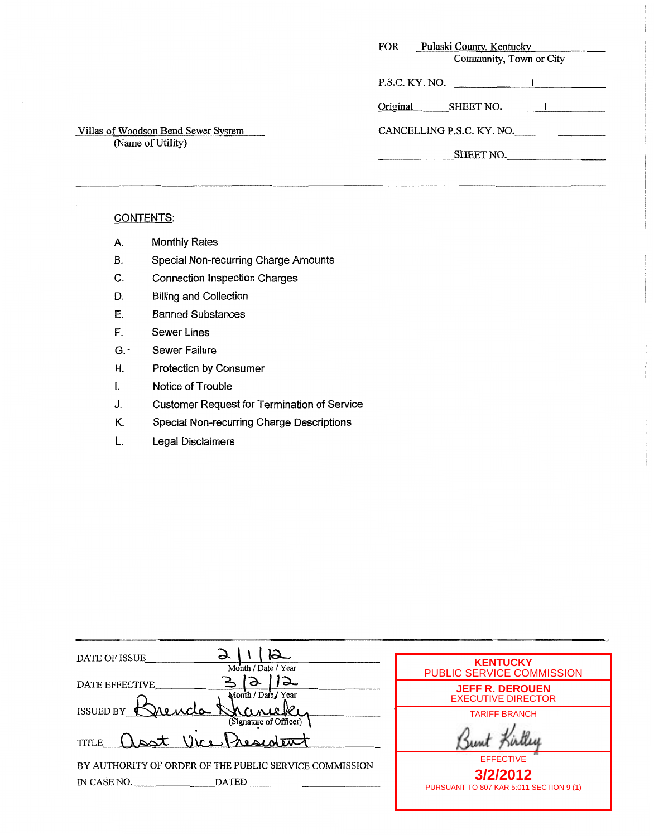| FOR | Pulaski County, Kentucky<br>Community, Town or City |
|-----|-----------------------------------------------------|
|     | P.S.C. KY. NO. 1                                    |
|     | Original SHEET NO. 1                                |
|     | CANCELLING P.S.C. KY. NO.                           |
|     | SHEET NO.                                           |

# Villas **of Woodson** Bend Sewer System (Name **of** Utility)

# CONTENTS:

- A. Monthly Rates
- *8.* Special Non-recurring Charge Amounts
- C. Connection Inspection Charges
- D. Billing and Collection
- E. Banned Substances
- F. Sewer Lines
- G. Sewer Failure
- H. Protection by Consumer
- I. Notice of Trouble
- **J.**  Customer Request for Termination of Service
- K. Special Non-recurring Charge Descriptions
- **L.** Legal Disclaimers

| DATE OF ISSUE<br>Month / Date / Year                                                  | <b>KENTUCKY</b><br><b>PUBLIC SERVICE COMMISSION</b> |
|---------------------------------------------------------------------------------------|-----------------------------------------------------|
| DATE EFFECTIVE<br>Month / Date / Year                                                 | <b>JEFF R. DEROUEN</b><br><b>EXECUTIVE DIRECTOR</b> |
| ISSUED BY<br>rendo<br>(Signature of Officer)                                          | <b>TARIFF BRANCH</b>                                |
| <b>TITLE</b><br>ast Vice                                                              | <b>EFFECTIVE</b>                                    |
| BY AUTHORITY OF ORDER OF THE PUBLIC SERVICE COMMISSION<br><b>DATED</b><br>IN CASE NO. | 3/2/2012<br>PURSUANT TO 807 KAR 5:011 SECTION 9 (1) |
|                                                                                       |                                                     |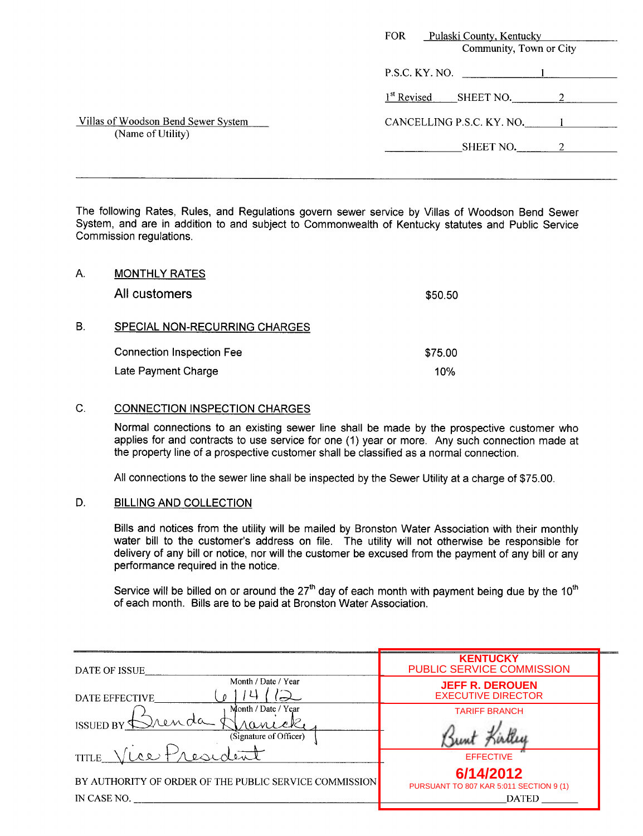|                                                          | <b>FOR</b><br>Pulaski County, Kentucky<br>Community, Town or City |
|----------------------------------------------------------|-------------------------------------------------------------------|
|                                                          | P.S.C. KY. NO.                                                    |
|                                                          | 1 <sup>st</sup> Revised<br>SHEET NO.                              |
| Villas of Woodson Bend Sewer System<br>(Name of Utility) | CANCELLING P.S.C. KY. NO. 1                                       |
|                                                          | SHEET NO.                                                         |
|                                                          |                                                                   |

The following Rates, Rules, and Regulations govern sewer service by Villas of Woodson Bend Sewer System, and are in addition to and subject to Commonwealth of Kentucky statutes and Public Service Commission regulations.

| А. | <b>MONTHLY RATES</b>             |         |
|----|----------------------------------|---------|
|    | All customers                    | \$50.50 |
| В. | SPECIAL NON-RECURRING CHARGES    |         |
|    | <b>Connection Inspection Fee</b> | \$75.00 |
|    | Late Payment Charge              | 10%     |

#### $C_{1}$ **CONNECTION INSPECTION CHARGES**

Normal connections to an existing sewer line shall be made by the prospective customer who applies for and contracts to use service for one (1) year or more. Any such connection made at the property line of a prospective customer shall be classified as a normal connection.

All connections to the sewer line shall be inspected by the Sewer Utility at a charge of \$75.00.

#### D. **BILLING AND COLLECTION**

Bills and notices from the utility will be mailed by Bronston Water Association with their monthly water bill to the customer's address on file. The utility will not otherwise be responsible for delivery of any bill or notice, nor will the customer be excused from the payment of any bill or any performance required in the notice.

Service will be billed on or around the  $27<sup>th</sup>$  day of each month with payment being due by the 10<sup>th</sup> of each month. Bills are to be paid at Bronston Water Association.

| DATE OF ISSUE                                                              | <b>KENTUCKY</b><br>PUBLIC SERVICE COMMISSION                         |
|----------------------------------------------------------------------------|----------------------------------------------------------------------|
| Month / Date / Year<br>DATE EFFECTIVE                                      | <b>JEFF R. DEROUEN</b><br><b>EXECUTIVE DIRECTOR</b>                  |
| Month / Date / Year<br>renda<br><b>ISSUED BY</b><br>(Signature of Officer) | <b>TARIFF BRANCH</b>                                                 |
| TITLE_<br>ر ۱۸۰۵<br>$0<\sim\Lambda$                                        | <b>EFFECTIVE</b>                                                     |
| BY AUTHORITY OF ORDER OF THE PUBLIC SERVICE COMMISSION<br>IN CASE NO.      | 6/14/2012<br>PURSUANT TO 807 KAR 5:011 SECTION 9 (1)<br><b>DATED</b> |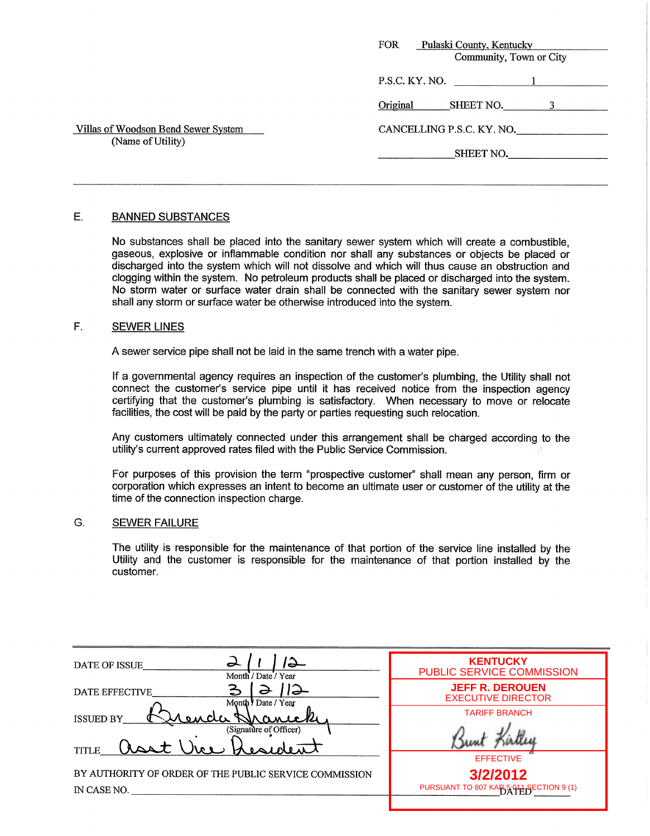|                                                          | <b>FOR</b><br>Pulaski County, Kentucky<br>Community, Town or City |
|----------------------------------------------------------|-------------------------------------------------------------------|
|                                                          | P.S.C. KY. NO.                                                    |
|                                                          | Original<br>SHEET NO.                                             |
| Villas of Woodson Bend Sewer System<br>(Name of Utility) | CANCELLING P.S.C. KY. NO.                                         |
|                                                          | SHEET NO.                                                         |
|                                                          |                                                                   |

# E. BANNED SUBSTANCES

No substances shall be placed into the sanitary sewer system which will create a combustible, gaseous, explosive or inflammable condition nor shall any substances or objects be placed or discharged into the system which will not dissolve and which will thus cause an obstruction and clogging within the system. No petroleum products shall be placed or discharged into the system. No storm water or surface water drain shall be connected with the sanitary sewer system nor shall any storm or surface water be otherwise introduced into the system.

#### F. SEWER LINES

A sewer service pipe shall not be laid in the same trench with a water pipe.

If a governmental agency requires an inspection of the customer's plumbing, the Utility shall not connect the customer's service pipe until it has received notice from the inspection agency certifying that the customer's plumbing is satisfactory. When necessary to move or relocate facilities, the cost will be paid by the party or parties requesting such relocation.

Any customers ultimately connected under this arrangement shall be charged according to the utility's current approved rates filed with the Public Service Commission.

For purposes of this provision the term "prospective customer" shall mean any person, firm or corporation which expresses an intent to become an ultimate user or customer of the utility at the time of the connection inspection charge.

#### G. SEWER FAILURE

The utility is responsible for the maintenance of that portion of the service line installed by the Utility and the customer is responsible for the maintenance of that portion installed by the customer.

| ᆋ<br>DATE OF ISSUE<br>Month / Date / Year              | <b>KENTUCKY</b><br>PUBLIC SERVICE COMMISSION        |
|--------------------------------------------------------|-----------------------------------------------------|
| DATE EFFECTIVE<br>Month V Date / Year                  | <b>JEFF R. DEROUEN</b><br><b>EXECUTIVE DIRECTOR</b> |
| <b>ISSUED BY</b><br>(Signature of Officer)             | <b>TARIFF BRANCH</b>                                |
| <b>TITLE</b>                                           | <b>EFFECTIVE</b>                                    |
| BY AUTHORITY OF ORDER OF THE PUBLIC SERVICE COMMISSION | 3/2/2012                                            |
| IN CASE NO.                                            | PURSUANT TO 807 KAR 5-911 SECTION 9 (1)             |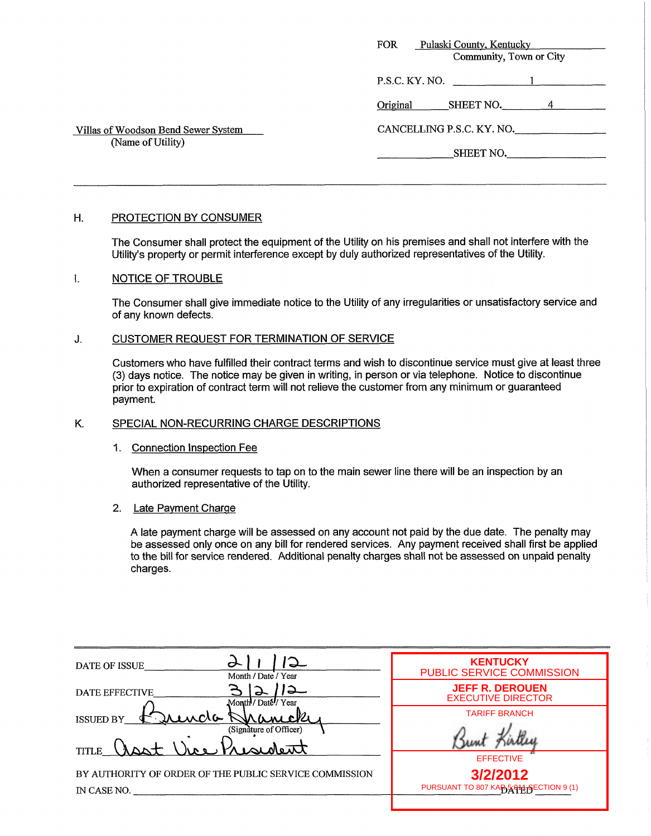|                                     | Pulaski County, Kentucky<br>FOR.<br>Community, Town or City |
|-------------------------------------|-------------------------------------------------------------|
|                                     | P.S.C. KY. NO. 1                                            |
|                                     | Original<br>SHEET NO.<br>$-4$                               |
| Villas of Woodson Bend Sewer System | CANCELLING P.S.C. KY. NO.                                   |
| (Name of Utility)                   | SHEET NO.                                                   |
|                                     |                                                             |

# H. PROTECTION **BY** CONSUMER

The Consumer shall protect the equipment of the Utility on his premises and shall not interfere with the Utility's property or permit interference except by duly authorized representatives of the Utility.

#### **1.** NOTICE OF TROUBLE

The Consumer shall give immediate notice to the Utility of any irregularities or unsatisfactory service and of any known defects.

### **J.** CUSTOMER REQUEST FOR TERMINATION OF SERVICE

Customers who have fulfilled their contract terms and wish to discontinue service must give at least three (3) days notice. The notice may be given in writing, in person or via telephone. Notice to discontinue prior to expiration of contract term will not relieve the customer from any minimum or guaranteed payment.

# K. SPECIAL NON-RECURRING CHARGE DESCRIPTIONS

#### **1.** Connection Inspection Fee

When a consumer requests to tap on to the main sewer line there will be an inspection by an authorized representative of the Utility.

#### 2. Late Payment Charqe

A late payment charge will be assessed on any account not paid by the due date. The penalty may be assessed only once on any bill for rendered services. Any payment received shall first be applied to the bill for service rendered. Additional penalty charges shall not be assessed on unpaid penalty charges.

| Ժ<br>DATE OF ISSUE<br>Month / Date / Year              | <b>KENTUCKY</b><br>PUBLIC SERVICE COMMISSION        |
|--------------------------------------------------------|-----------------------------------------------------|
| DATE EFFECTIVE<br>Month / Date / Year                  | <b>JEFF R. DEROUEN</b><br><b>EXECUTIVE DIRECTOR</b> |
| renda<br><b>ISSUED BY</b><br>(Signature of Officer)    | <b>TARIFF BRANCH</b>                                |
| <b>TITLE</b>                                           | <b>EFFECTIVE</b>                                    |
| BY AUTHORITY OF ORDER OF THE PUBLIC SERVICE COMMISSION | 3/2/2012<br>PURSUANT TO 807 KABATHER SECTION 9 (1)  |
| IN CASE NO.                                            |                                                     |